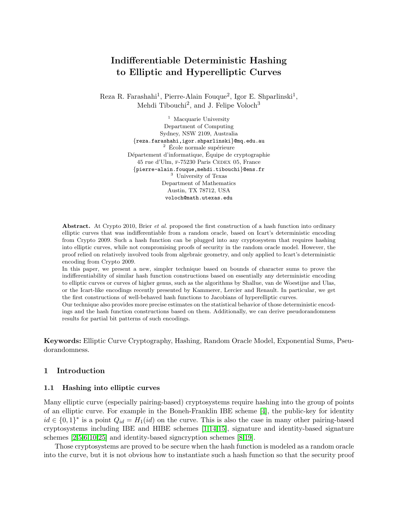# Indifferentiable Deterministic Hashing to Elliptic and Hyperelliptic Curves

Reza R. Farashahi<sup>1</sup>, Pierre-Alain Fouque<sup>2</sup>, Igor E. Shparlinski<sup>1</sup>, Mehdi Tibouchi<sup>2</sup>, and J. Felipe Voloch<sup>3</sup>

> <sup>1</sup> Macquarie University Department of Computing Sydney, NSW 2109, Australia {reza.farashahi,igor.shparlinski}@mq.edu.au  $^2$  École normale supérieure Département d'informatique, Équipe de cryptographie 45 rue d'Ulm, F-75230 Paris CEDEX 05, France {pierre-alain.fouque,mehdi.tibouchi}@ens.fr <sup>3</sup> University of Texas Department of Mathematics Austin, TX 78712, USA voloch@math.utexas.edu

Abstract. At Crypto 2010, Brier *et al.* proposed the first construction of a hash function into ordinary elliptic curves that was indifferentiable from a random oracle, based on Icart's deterministic encoding from Crypto 2009. Such a hash function can be plugged into any cryptosystem that requires hashing into elliptic curves, while not compromising proofs of security in the random oracle model. However, the proof relied on relatively involved tools from algebraic geometry, and only applied to Icart's deterministic encoding from Crypto 2009.

In this paper, we present a new, simpler technique based on bounds of character sums to prove the indifferentiability of similar hash function constructions based on essentially any deterministic encoding to elliptic curves or curves of higher genus, such as the algorithms by Shallue, van de Woestijne and Ulas, or the Icart-like encodings recently presented by Kammerer, Lercier and Renault. In particular, we get the first constructions of well-behaved hash functions to Jacobians of hyperelliptic curves.

Our technique also provides more precise estimates on the statistical behavior of those deterministic encodings and the hash function constructions based on them. Additionally, we can derive pseudorandomness results for partial bit patterns of such encodings.

Keywords: Elliptic Curve Cryptography, Hashing, Random Oracle Model, Exponential Sums, Pseudorandomness.

# 1 Introduction

## 1.1 Hashing into elliptic curves

Many elliptic curve (especially pairing-based) cryptosystems require hashing into the group of points of an elliptic curve. For example in the Boneh-Franklin IBE scheme [\[4\]](#page-16-0), the public-key for identity  $id \in \{0,1\}^*$  is a point  $Q_{id} = H_1(id)$  on the curve. This is also the case in many other pairing-based cryptosystems including IBE and HIBE schemes [\[1,](#page-16-1)[14,](#page-17-0)[15\]](#page-17-1), signature and identity-based signature schemes [\[2](#page-16-2)[,5,](#page-16-3)[6](#page-16-4)[,10](#page-17-2)[,25\]](#page-17-3) and identity-based signcryption schemes [\[8,](#page-16-5)[19\]](#page-17-4).

Those cryptosystems are proved to be secure when the hash function is modeled as a random oracle into the curve, but it is not obvious how to instantiate such a hash function so that the security proof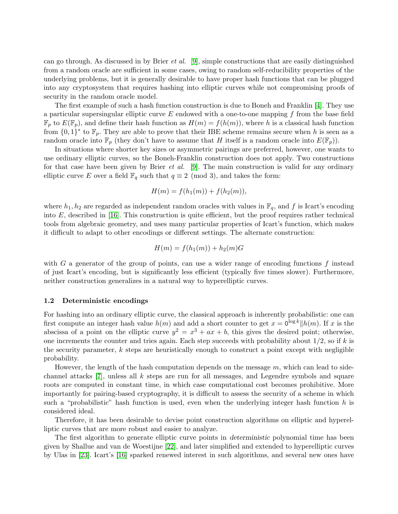can go through. As discussed in by Brier *et al.* [\[9\]](#page-16-6), simple constructions that are easily distinguished from a random oracle are sufficient in some cases, owing to random self-reducibility properties of the underlying problems, but it is generally desirable to have proper hash functions that can be plugged into any cryptosystem that requires hashing into elliptic curves while not compromising proofs of security in the random oracle model.

The first example of such a hash function construction is due to Boneh and Franklin [\[4\]](#page-16-0). They use a particular supersingular elliptic curve  $E$  endowed with a one-to-one mapping f from the base field  $\mathbb{F}_p$  to  $E(\mathbb{F}_p)$ , and define their hash function as  $H(m) = f(h(m))$ , where h is a classical hash function from  $\{0,1\}^*$  to  $\mathbb{F}_p$ . They are able to prove that their IBE scheme remains secure when h is seen as a random oracle into  $\mathbb{F}_p$  (they don't have to assume that H itself is a random oracle into  $E(\mathbb{F}_p)$ ).

In situations where shorter key sizes or asymmetric pairings are preferred, however, one wants to use ordinary elliptic curves, so the Boneh-Franklin construction does not apply. Two constructions for that case have been given by Brier *et al.* [\[9\]](#page-16-6). The main construction is valid for any ordinary elliptic curve E over a field  $\mathbb{F}_q$  such that  $q \equiv 2 \pmod{3}$ , and takes the form:

$$
H(m) = f(h_1(m)) + f(h_2(m)),
$$

where  $h_1, h_2$  are regarded as independent random oracles with values in  $\mathbb{F}_q$ , and f is Icart's encoding into  $E$ , described in [\[16\]](#page-17-5). This construction is quite efficient, but the proof requires rather technical tools from algebraic geometry, and uses many particular properties of Icart's function, which makes it difficult to adapt to other encodings or different settings. The alternate construction:

$$
H(m) = f(h_1(m)) + h_2(m)G
$$

with G a generator of the group of points, can use a wider range of encoding functions  $f$  instead of just Icart's encoding, but is significantly less efficient (typically five times slower). Furthermore, neither construction generalizes in a natural way to hyperelliptic curves.

## 1.2 Deterministic encodings

For hashing into an ordinary elliptic curve, the classical approach is inherently probabilistic: one can first compute an integer hash value  $h(m)$  and add a short counter to get  $x = 0^{\log k} || h(m)$ . If x is the abscissa of a point on the elliptic curve  $y^2 = x^3 + ax + b$ , this gives the desired point; otherwise, one increments the counter and tries again. Each step succeeds with probability about  $1/2$ , so if k is the security parameter,  $k$  steps are heuristically enough to construct a point except with negligible probability.

However, the length of the hash computation depends on the message  $m$ , which can lead to sidechannel attacks  $[7]$ , unless all k steps are run for all messages, and Legendre symbols and square roots are computed in constant time, in which case computational cost becomes prohibitive. More importantly for pairing-based cryptography, it is difficult to assess the security of a scheme in which such a "probabilistic" hash function is used, even when the underlying integer hash function h is considered ideal.

Therefore, it has been desirable to devise point construction algorithms on elliptic and hyperelliptic curves that are more robust and easier to analyze.

The first algorithm to generate elliptic curve points in deterministic polynomial time has been given by Shallue and van de Woestijne [\[22\]](#page-17-6), and later simplified and extended to hyperelliptic curves by Ulas in [\[23\]](#page-17-7). Icart's [\[16\]](#page-17-5) sparked renewed interest in such algorithms, and several new ones have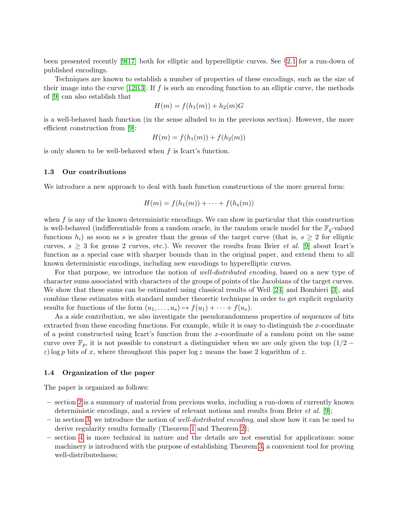been presented recently [\[9](#page-16-6)[,17\]](#page-17-8) both for elliptic and hyperelliptic curves. See §[2.1](#page-3-0) for a run-down of published encodings.

Techniques are known to establish a number of properties of these encodings, such as the size of their image into the curve  $[12,13]$  $[12,13]$ . If f is such an encoding function to an elliptic curve, the methods of [\[9\]](#page-16-6) can also establish that

$$
H(m) = f(h_1(m)) + h_2(m)G
$$

is a well-behaved hash function (in the sense alluded to in the previous section). However, the more efficient construction from [\[9\]](#page-16-6):

$$
H(m) = f(h_1(m)) + f(h_2(m))
$$

is only shown to be well-behaved when f is Icart's function.

# 1.3 Our contributions

We introduce a new approach to deal with hash function constructions of the more general form:

$$
H(m) = f(h_1(m)) + \cdots + f(h_s(m))
$$

when  $f$  is any of the known deterministic encodings. We can show in particular that this construction is well-behaved (indifferentiable from a random oracle, in the random oracle model for the  $\mathbb{F}_q$ -valued functions  $h_i$ ) as soon as s is greater than the genus of the target curve (that is,  $s \geq 2$  for elliptic curves,  $s \geq 3$  for genus 2 curves, etc.). We recover the results from Brier *et al.* [\[9\]](#page-16-6) about Icart's function as a special case with sharper bounds than in the original paper, and extend them to all known deterministic encodings, including new encodings to hyperelliptic curves.

For that purpose, we introduce the notion of *well-distributed encoding*, based on a new type of character sums associated with characters of the groups of points of the Jacobians of the target curves. We show that these sums can be estimated using classical results of Weil [\[24\]](#page-17-11) and Bombieri [\[3\]](#page-16-8), and combine these estimates with standard number theoretic technique in order to get explicit regularity results for functions of the form  $(u_1, \ldots, u_s) \mapsto f(u_1) + \cdots + f(u_s)$ .

As a side contribution, we also investigate the pseudorandomness properties of sequences of bits extracted from these encoding functions. For example, while it is easy to distinguish the x-coordinate of a point constructed using Icart's function from the x-coordinate of a random point on the same curve over  $\mathbb{F}_p$ , it is not possible to construct a distinguisher when we are only given the top  $(1/2 \varepsilon$ ) log p bits of x, where throughout this paper log z means the base 2 logarithm of z.

## 1.4 Organization of the paper

The paper is organized as follows:

- section [2](#page-3-1) is a summary of material from previous works, including a run-down of currently known deterministic encodings, and a review of relevant notions and results from Brier *et al.* [\[9\]](#page-16-6);
- $-$  in section [3,](#page-4-0) we introduce the notion of *well-distributed encoding*, and show how it can be used to derive regularity results formally (Theorem [1](#page-5-0) and Theorem [2\)](#page-6-0);
- section [4](#page-7-0) is more technical in nature and the details are not essential for applications: some machinery is introduced with the purpose of establishing Theorem [3,](#page-8-0) a convenient tool for proving well-distributedness;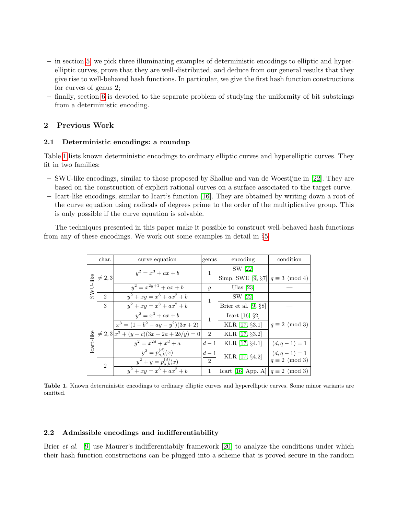- in section [5,](#page-8-1) we pick three illuminating examples of deterministic encodings to elliptic and hyperelliptic curves, prove that they are well-distributed, and deduce from our general results that they give rise to well-behaved hash functions. In particular, we give the first hash function constructions for curves of genus 2;
- finally, section [6](#page-15-0) is devoted to the separate problem of studying the uniformity of bit substrings from a deterministic encoding.

# <span id="page-3-1"></span>2 Previous Work

# <span id="page-3-0"></span>2.1 Deterministic encodings: a roundup

Table [1](#page-3-2) lists known deterministic encodings to ordinary elliptic curves and hyperelliptic curves. They fit in two families:

- SWU-like encodings, similar to those proposed by Shallue and van de Woestijne in [\[22\]](#page-17-6). They are based on the construction of explicit rational curves on a surface associated to the target curve.
- Icart-like encodings, similar to Icart's function [\[16\]](#page-17-5). They are obtained by writing down a root of the curve equation using radicals of degrees prime to the order of the multiplicative group. This is only possible if the curve equation is solvable.

The techniques presented in this paper make it possible to construct well-behaved hash functions from any of these encodings. We work out some examples in detail in §[5.](#page-8-1)

|            | char.                                                                                                  | curve equation                                | genus          | encoding                                  | condition             |  |
|------------|--------------------------------------------------------------------------------------------------------|-----------------------------------------------|----------------|-------------------------------------------|-----------------------|--|
|            |                                                                                                        | $y^2 = x^3 + ax + b$                          | 1              | SW [22]                                   |                       |  |
|            | $\begin{array}{c}\n\stackrel{\text{ge}}{111} \neq 2,3 \\ \hline\n\stackrel{\text{ge}}{2}\n\end{array}$ |                                               |                | Simp. SWU [9, $\S7   q \equiv 3 \pmod{4}$ |                       |  |
|            |                                                                                                        | $y^2 = x^{2g+1} + ax + b$                     | $\mathfrak{g}$ | Ulas $[23]$                               |                       |  |
|            |                                                                                                        | $y^2 + xy = x^3 + ax^2 + b$                   | 1              | SW [22]                                   |                       |  |
|            | 3                                                                                                      | $y^2 + xy = x^3 + ax^2 + b$                   |                | Brier et al. $[9, §8]$                    |                       |  |
|            |                                                                                                        | $y^2 = x^3 + ax + b$                          | 1              | Icart [16, $\S$ 2]                        |                       |  |
|            |                                                                                                        | $x^3 = (1 - b^2 - ay - y^2)(3x + 2)$          |                | KLR [17, §3.1]                            | $q \equiv 2 \pmod{3}$ |  |
|            |                                                                                                        | $\neq 2, 3 x^3 + (y + c)(3x + 2a + 2b/y) = 0$ | $\overline{2}$ | KLR [17, §3.2]                            |                       |  |
| Icart-like |                                                                                                        | $y^2 = x^{2d} + x^d + a$                      | $d-1$          | KLR [17, §4.1]                            | $(d, q - 1) = 1$      |  |
|            |                                                                                                        | $y^2 = p_{a,b}^{(d)}(x)$                      | $d-1$          | KLR [17, §4.2]                            | $(d, q - 1) = 1$      |  |
|            | $\mathcal{D}$                                                                                          | $y^2 + y = p_{a,b}^{(d)}(x)$                  | $\mathcal{D}$  |                                           | $q \equiv 2 \pmod{3}$ |  |
|            |                                                                                                        | $y^2 + xy = x^3 + ax^2 + b$                   | 1              | Icart [16, App. A] $ q \equiv 2 \pmod{3}$ |                       |  |

<span id="page-3-2"></span>Table 1. Known deterministic encodings to ordinary elliptic curves and hyperelliptic curves. Some minor variants are omitted.

# 2.2 Admissible encodings and indifferentiability

Brier *et al.* [\[9\]](#page-16-6) use Maurer's indifferentiabily framework [\[20\]](#page-17-12) to analyze the conditions under which their hash function constructions can be plugged into a scheme that is proved secure in the random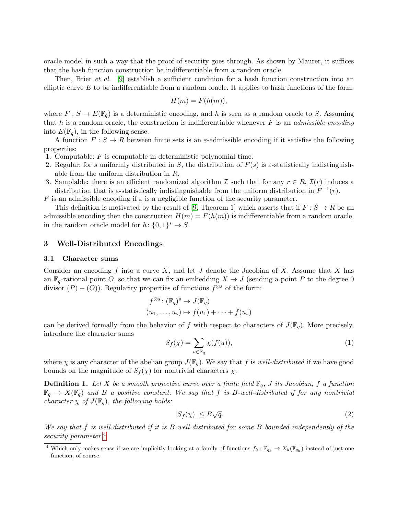oracle model in such a way that the proof of security goes through. As shown by Maurer, it suffices that the hash function construction be indifferentiable from a random oracle.

Then, Brier *et al.* [\[9\]](#page-16-6) establish a sufficient condition for a hash function construction into an elliptic curve  $E$  to be indifferentiable from a random oracle. It applies to hash functions of the form:

$$
H(m) = F(h(m)),
$$

where  $F: S \to E(\mathbb{F}_q)$  is a deterministic encoding, and h is seen as a random oracle to S. Assuming that h is a random oracle, the construction is indifferentiable whenever  $F$  is an *admissible encoding* into  $E(\mathbb{F}_q)$ , in the following sense.

A function  $F : S \to R$  between finite sets is an  $\varepsilon$ -admissible encoding if it satisfies the following properties:

- 1. Computable:  $F$  is computable in deterministic polynomial time.
- 2. Regular: for s uniformly distributed in S, the distribution of  $F(s)$  is  $\varepsilon$ -statistically indistinguishable from the uniform distribution in R.
- 3. Samplable: there is an efficient randomized algorithm I such that for any  $r \in R$ ,  $\mathcal{I}(r)$  induces a distribution that is  $\varepsilon$ -statistically indistinguishable from the uniform distribution in  $F^{-1}(r)$ .

F is an admissible encoding if  $\varepsilon$  is a negligible function of the security parameter.

This definition is motivated by the result of [\[9,](#page-16-6) Theorem 1] which asserts that if  $F : S \to R$  be an admissible encoding then the construction  $H(m) = F(h(m))$  is indifferentiable from a random oracle, in the random oracle model for  $h: \{0,1\}^* \to S$ .

# <span id="page-4-0"></span>3 Well-Distributed Encodings

## 3.1 Character sums

Consider an encoding f into a curve X, and let J denote the Jacobian of X. Assume that X has an  $\mathbb{F}_q$ -rational point O, so that we can fix an embedding  $X \to J$  (sending a point P to the degree 0 divisor  $(P) - (O)$ ). Regularity properties of functions  $f^{\otimes s}$  of the form:

$$
f^{\otimes s} \colon (\mathbb{F}_q)^s \to J(\mathbb{F}_q)
$$
  

$$
(u_1, \dots, u_s) \mapsto f(u_1) + \dots + f(u_s)
$$

can be derived formally from the behavior of f with respect to characters of  $J(\mathbb{F}_q)$ . More precisely, introduce the character sums

<span id="page-4-3"></span>
$$
S_f(\chi) = \sum_{u \in \mathbb{F}_q} \chi(f(u)),\tag{1}
$$

where  $\chi$  is any character of the abelian group  $J(\mathbb{F}_q)$ . We say that f is well-distributed if we have good bounds on the magnitude of  $S_f(\chi)$  for nontrivial characters  $\chi$ .

**Definition 1.** Let X be a smooth projective curve over a finite field  $\mathbb{F}_q$ , J its Jacobian, f a function  $\mathbb{F}_q \to X(\mathbb{F}_q)$  and B a positive constant. We say that f is B-well-distributed if for any nontrivial character  $\chi$  of  $J(\mathbb{F}_q)$ , the following holds:

<span id="page-4-2"></span>
$$
|S_f(\chi)| \le B\sqrt{q}.\tag{2}
$$

We say that f is well-distributed if it is B-well-distributed for some B bounded independently of the security parameter.<sup>[4](#page-4-1)</sup>

<span id="page-4-1"></span><sup>&</sup>lt;sup>4</sup> Which only makes sense if we are implicitly looking at a family of functions  $f_k : \mathbb{F}_{q_k} \to X_k(\mathbb{F}_{q_k})$  instead of just one function, of course.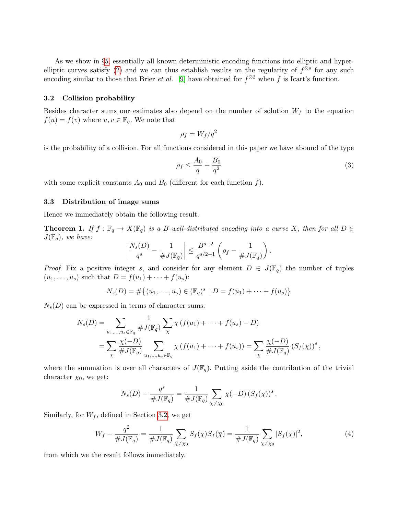As we show in §[5,](#page-8-1) essentially all known deterministic encoding functions into elliptic and hyper-elliptic curves satisfy [\(2\)](#page-4-2) and we can thus establish results on the regularity of  $f^{\otimes s}$  for any such encoding similar to those that Brier *et al.* [\[9\]](#page-16-6) have obtained for  $f^{\otimes 2}$  when f is Icart's function.

#### <span id="page-5-1"></span>3.2 Collision probability

Besides character sums our estimates also depend on the number of solution  $W_f$  to the equation  $f(u) = f(v)$  where  $u, v \in \mathbb{F}_q$ . We note that

$$
\rho_f = W_f/q^2
$$

is the probability of a collision. For all functions considered in this paper we have abound of the type

$$
\rho_f \le \frac{A_0}{q} + \frac{B_0}{q^2} \tag{3}
$$

with some explicit constants  $A_0$  and  $B_0$  (different for each function f).

## 3.3 Distribution of image sums

<span id="page-5-0"></span>Hence we immediately obtain the following result.

**Theorem 1.** If  $f : \mathbb{F}_q \to X(\mathbb{F}_q)$  is a B-well-distributed encoding into a curve X, then for all  $D \in$  $J(\mathbb{F}_q)$ , we have:

$$
\left|\frac{N_s(D)}{q^s}-\frac{1}{\#J(\mathbb{F}_q)}\right|\leq \frac{B^{s-2}}{q^{s/2-1}}\left(\rho_f-\frac{1}{\#J(\mathbb{F}_q)}\right).
$$

*Proof.* Fix a positive integer s, and consider for any element  $D \in J(\mathbb{F}_q)$  the number of tuples  $(u_1, ..., u_s)$  such that  $D = f(u_1) + ... + f(u_s)$ :

$$
N_s(D) = #\{(u_1, \ldots, u_s) \in (\mathbb{F}_q)^s \mid D = f(u_1) + \cdots + f(u_s)\}
$$

 $N_s(D)$  can be expressed in terms of character sums:

$$
N_s(D) = \sum_{u_1, ..., u_s \in \mathbb{F}_q} \frac{1}{\#J(\mathbb{F}_q)} \sum_{\chi} \chi(f(u_1) + \dots + f(u_s) - D)
$$
  
= 
$$
\sum_{\chi} \frac{\chi(-D)}{\#J(\mathbb{F}_q)} \sum_{u_1, ..., u_s \in \mathbb{F}_q} \chi(f(u_1) + \dots + f(u_s)) = \sum_{\chi} \frac{\chi(-D)}{\#J(\mathbb{F}_q)} (S_f(\chi))^s,
$$

where the summation is over all characters of  $J(\mathbb{F}_q)$ . Putting aside the contribution of the trivial character  $\chi_0$ , we get:

$$
N_s(D) - \frac{q^s}{\#J(\mathbb{F}_q)} = \frac{1}{\#J(\mathbb{F}_q)} \sum_{\chi \neq \chi_0} \chi(-D) \left(S_f(\chi)\right)^s.
$$

Similarly, for  $W_f$ , defined in Section [3.2,](#page-5-1) we get

<span id="page-5-2"></span>
$$
W_f - \frac{q^2}{\#J(\mathbb{F}_q)} = \frac{1}{\#J(\mathbb{F}_q)} \sum_{\chi \neq \chi_0} S_f(\chi) S_f(\overline{\chi}) = \frac{1}{\#J(\mathbb{F}_q)} \sum_{\chi \neq \chi_0} |S_f(\chi)|^2,
$$
 (4)

from which we the result follows immediately.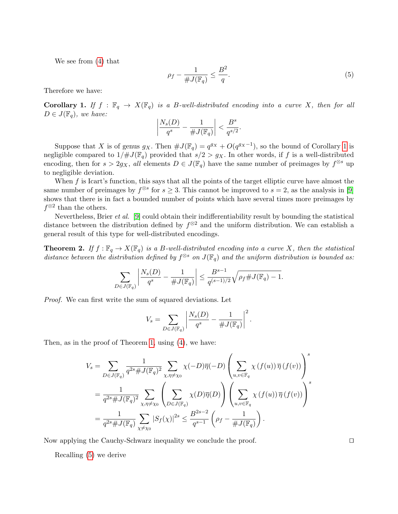We see from [\(4\)](#page-5-2) that

<span id="page-6-2"></span>
$$
\rho_f - \frac{1}{\#J(\mathbb{F}_q)} \le \frac{B^2}{q}.\tag{5}
$$

<span id="page-6-1"></span>Therefore we have:

Corollary 1. If  $f : \mathbb{F}_q \to X(\mathbb{F}_q)$  is a B-well-distributed encoding into a curve X, then for all  $D \in J(\mathbb{F}_q)$ , we have:

$$
\left|\frac{N_s(D)}{q^s}-\frac{1}{\#J(\mathbb{F}_q)}\right|<\frac{B^s}{q^{s/2}}.
$$

Suppose that X is of genus  $g_X$ . Then  $\#J(\mathbb{F}_q) = q^{g_X} + O(q^{g_X-1})$ , so the bound of Corollary [1](#page-6-1) is negligible compared to  $1/\#J(\mathbb{F}_q)$  provided that  $s/2 > g_X$ . In other words, if f is a well-distributed encoding, then for  $s > 2g_X$ , all elements  $D \in J(\mathbb{F}_q)$  have the same number of preimages by  $f^{\otimes s}$  up to negligible deviation.

When  $f$  is Icart's function, this says that all the points of the target elliptic curve have almost the same number of preimages by  $f^{\otimes s}$  for  $s \geq 3$ . This cannot be improved to  $s = 2$ , as the analysis in [\[9\]](#page-16-6) shows that there is in fact a bounded number of points which have several times more preimages by  $f^{\otimes 2}$  than the others.

Nevertheless, Brier et al. [\[9\]](#page-16-6) could obtain their indifferentiability result by bounding the statistical distance between the distribution defined by  $f^{\otimes 2}$  and the uniform distribution. We can establish a general result of this type for well-distributed encodings.

<span id="page-6-0"></span>**Theorem 2.** If  $f : \mathbb{F}_q \to X(\mathbb{F}_q)$  is a B-well-distributed encoding into a curve X, then the statistical distance between the distribution defined by  $f^{\otimes s}$  on  $J(\mathbb{F}_q)$  and the uniform distribution is bounded as:

$$
\sum_{D \in J(\mathbb{F}_q)} \left| \frac{N_s(D)}{q^s} - \frac{1}{\# J(\mathbb{F}_q)} \right| \leq \frac{B^{s-1}}{q^{(s-1)/2}} \sqrt{\rho_f \# J(\mathbb{F}_q) - 1}.
$$

Proof. We can first write the sum of squared deviations. Let

$$
V_s = \sum_{D \in J(\mathbb{F}_q)} \left| \frac{N_s(D)}{q^s} - \frac{1}{\# J(\mathbb{F}_q)} \right|^2.
$$

Then, as in the proof of Theorem [1,](#page-5-0) using [\(4\)](#page-5-2), we have:

$$
V_s = \sum_{D \in J(\mathbb{F}_q)} \frac{1}{q^{2s} \# J(\mathbb{F}_q)^2} \sum_{\chi, \eta \neq \chi_0} \chi(-D)\overline{\eta}(-D) \left(\sum_{u,v \in \mathbb{F}_q} \chi(f(u)) \overline{\eta}(f(v))\right)^s
$$
  
= 
$$
\frac{1}{q^{2s} \# J(\mathbb{F}_q)^2} \sum_{\chi, \eta \neq \chi_0} \left(\sum_{D \in J(\mathbb{F}_q)} \chi(D)\overline{\eta}(D)\right) \left(\sum_{u,v \in \mathbb{F}_q} \chi(f(u)) \overline{\eta}(f(v))\right)^s
$$
  
= 
$$
\frac{1}{q^{2s} \# J(\mathbb{F}_q)} \sum_{\chi \neq \chi_0} |S_f(\chi)|^{2s} \leq \frac{B^{2s-2}}{q^{s-1}} \left(\rho_f - \frac{1}{\# J(\mathbb{F}_q)}\right).
$$

Now applying the Cauchy-Schwarz inequality we conclude the proof.

<span id="page-6-3"></span>Recalling [\(5\)](#page-6-2) we derive

$$
\Box
$$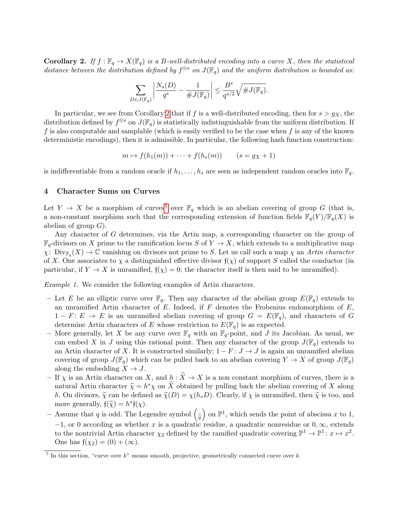**Corollary 2.** If  $f : \mathbb{F}_q \to X(\mathbb{F}_q)$  is a B-well-distributed encoding into a curve X, then the statistical distance between the distribution defined by  $f^{\otimes s}$  on  $J(\mathbb{F}_q)$  and the uniform distribution is bounded as:

$$
\sum_{D \in J(\mathbb{F}_q)} \left| \frac{N_s(D)}{q^s} - \frac{1}{\# J(\mathbb{F}_q)} \right| \leq \frac{B^s}{q^{s/2}} \sqrt{\# J(\mathbb{F}_q)}.
$$

In particular, we see from Corollary [2](#page-6-3) that if f is a well-distributed encoding, then for  $s > g_X$ , the distribution defined by  $f^{\otimes s}$  on  $J(\mathbb{F}_q)$  is statistically indistinguishable from the uniform distribution. If f is also computable and samplable (which is easily verified to be the case when f is any of the known deterministic encodings), then it is admissible. In particular, the following hash function construction:

$$
m \mapsto f(h_1(m)) + \dots + f(h_s(m)) \qquad (s = g_X + 1)
$$

is indifferentiable from a random oracle if  $h_1, \ldots, h_s$  are seen as independent random oracles into  $\mathbb{F}_q$ .

# <span id="page-7-0"></span>4 Character Sums on Curves

Let  $Y \to X$  be a morphism of curves<sup>[5](#page-7-1)</sup> over  $\mathbb{F}_q$  which is an abelian covering of group G (that is, a non-constant morphism such that the corresponding extension of function fields  $\mathbb{F}_q(Y)/\mathbb{F}_q(X)$  is abelian of group  $G$ ).

Any character of G determines, via the Artin map, a corresponding character on the group of  $\mathbb{F}_q$ -divisors on X prime to the ramification locus S of  $Y \to X$ , which extends to a multiplicative map  $\chi: \text{Div}_{\mathbb{F}_q}(X) \to \mathbb{C}$  vanishing on divisors not prime to S. Let us call such a map  $\chi$  an Artin character of X. One associates to  $\chi$  a distinguished effective divisor  $f(\chi)$  of support S called the conductor (in particular, if  $Y \to X$  is unramified,  $f(\chi) = 0$ ; the character itself is then said to be unramified).

Example 1. We consider the following examples of Artin characters.

- Let E be an elliptic curve over  $\mathbb{F}_q$ . Then any character of the abelian group  $E(\mathbb{F}_q)$  extends to an unramified Artin character of E. Indeed, if F denotes the Frobenius endomorphism of  $E$ ,  $1-F: E \to E$  is an unramified abelian covering of group  $G = E(\mathbb{F}_q)$ , and characters of G determine Artin characters of E whose restriction to  $E(\mathbb{F}_q)$  is as expected.
- More generally, let X be any curve over  $\mathbb{F}_q$  with an  $\mathbb{F}_q$ -point, and J its Jacobian. As usual, we can embed X in J using this rational point. Then any character of the group  $J(\mathbb{F}_q)$  extends to an Artin character of X. It is constructed similarly;  $1 - F : J \to J$  is again an unramified abelian covering of group  $J(\mathbb{F}_q)$  which can be pulled back to an abelian covering  $Y \to X$  of group  $J(\mathbb{F}_q)$ along the embedding  $X \to J$ .
- If  $\chi$  is an Artin character on X, and  $h : \widetilde{X} \to X$  is a non constant morphism of curves, there is a natural Artin character  $\tilde{\chi} = h^*\chi$  on  $\tilde{X}$  obtained by pulling back the abelian covering of X along  $h$ . On divisors  $\tilde{\chi}$  can be defined as  $\tilde{\chi}(D) = \chi(h, D)$ . Clearly if  $\chi$  is unramified, then  $\tilde{\chi}$  is too h. On divisors,  $\tilde{\chi}$  can be defined as  $\tilde{\chi}(D) = \chi(h_*D)$ . Clearly, if  $\chi$  is unramified, then  $\tilde{\chi}$  is too, and more generally,  $f(\tilde{\chi}) = h^* f(\chi)$ .
- Assume that q is odd. The Legendre symbol  $\left(\frac{1}{a}\right)$  $\frac{1}{q}$  on  $\mathbb{P}^1$ , which sends the point of abscissa x to 1,  $-1$ , or 0 according as whether x is a quadratic residue, a quadratic nonresidue or  $0, \infty$ , extends to the nontrivial Artin character  $\chi_2$  defined by the ramified quadratic covering  $\mathbb{P}^1 \to \mathbb{P}^1$ :  $x \mapsto x^2$ . One has  $f(\chi_2) = (0) + (\infty)$ .

<span id="page-7-1"></span><sup>&</sup>lt;sup>5</sup> In this section, "curve over k" means smooth, projective, geometrically connected curve over k.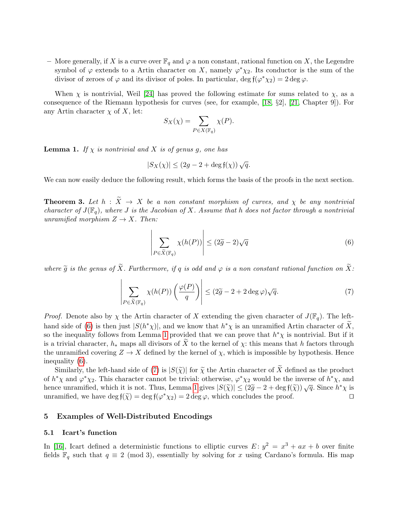– More generally, if X is a curve over  $\mathbb{F}_q$  and  $\varphi$  a non constant, rational function on X, the Legendre symbol of  $\varphi$  extends to a Artin character on X, namely  $\varphi^*\chi_2$ . Its conductor is the sum of the divisor of zeroes of  $\varphi$  and its divisor of poles. In particular, deg  $f(\varphi^* \chi_2) = 2 \deg \varphi$ .

When  $\chi$  is nontrivial, Weil [\[24\]](#page-17-11) has proved the following estimate for sums related to  $\chi$ , as a consequence of the Riemann hypothesis for curves (see, for example, [\[18,](#page-17-13) §2], [\[21,](#page-17-14) Chapter 9]). For any Artin character  $\chi$  of X, let:

$$
S_X(\chi) = \sum_{P \in X(\mathbb{F}_q)} \chi(P).
$$

<span id="page-8-3"></span>**Lemma 1.** If  $\chi$  is nontrivial and X is of genus g, one has

$$
|S_X(\chi)| \le (2g - 2 + \deg f(\chi))\sqrt{q}.
$$

<span id="page-8-0"></span>We can now easily deduce the following result, which forms the basis of the proofs in the next section.

**Theorem 3.** Let  $h : \tilde{X} \to X$  be a non constant morphism of curves, and  $\chi$  be any nontrivial character of  $J(\mathbb{F}_q)$ , where J is the Jacobian of X. Assume that h does not factor through a nontrivial unramified morphism  $Z \to X$ . Then:

<span id="page-8-2"></span>
$$
\left| \sum_{P \in \widetilde{X}(\mathbb{F}_q)} \chi(h(P)) \right| \le (2\widetilde{g} - 2)\sqrt{q} \tag{6}
$$

where  $\widetilde{g}$  is the genus of  $\widetilde{X}$ . Furthermore, if q is odd and  $\varphi$  is a non constant rational function on  $\widetilde{X}$ :

<span id="page-8-4"></span>
$$
\left| \sum_{P \in \widetilde{X}(\mathbb{F}_q)} \chi(h(P)) \left( \frac{\varphi(P)}{q} \right) \right| \le (2\widetilde{g} - 2 + 2 \deg \varphi) \sqrt{q}.\tag{7}
$$

*Proof.* Denote also by  $\chi$  the Artin character of X extending the given character of  $J(\mathbb{F}_q)$ . The left-hand side of [\(6\)](#page-8-2) is then just  $|S(h^*\chi)|$ , and we know that  $h^*\chi$  is an unramified Artin character of  $\widetilde{X}$ , so the inequality follows from Lemma [1](#page-8-3) provided that we can prove that  $h^*\chi$  is nontrivial. But if it is a trivial character,  $h_*$  maps all divisors of X to the kernel of  $\chi$ : this means that h factors through the unramified covering  $Z \to X$  defined by the kernel of  $\chi$ , which is impossible by hypothesis. Hence inequality [\(6\)](#page-8-2).

Similarly, the left-hand side of [\(7\)](#page-8-4) is  $|S(\tilde{\chi})|$  for  $\tilde{\chi}$  the Artin character of X defined as the product of  $h^*\chi$  and  $\varphi^*\chi_2$ . This character cannot be trivial: otherwise,  $\varphi^*\chi_2$  would be the inverse of  $h^*\chi$ , and hence unramified, which it is not. Thus, Lemma [1](#page-8-3) gives  $|S(\tilde{\chi})| \leq (2\tilde{g} - 2 + \deg f(\tilde{\chi})) \sqrt{q}$ . Since  $h^*\chi$  is<br>unramified, we have  $\deg f(\tilde{\chi}) = \deg f(\chi^*\chi) = 2 \deg g$ , which concludes the proof unramified, we have  $\deg f(\tilde{\chi}) = \deg f(\varphi^* \chi_2) = 2 \deg \varphi$ , which concludes the proof.

# <span id="page-8-1"></span>5 Examples of Well-Distributed Encodings

#### <span id="page-8-5"></span>5.1 Icart's function

In [\[16\]](#page-17-5), Icart defined a deterministic functions to elliptic curves  $E: y^2 = x^3 + ax + b$  over finite fields  $\mathbb{F}_q$  such that  $q \equiv 2 \pmod{3}$ , essentially by solving for x using Cardano's formula. His map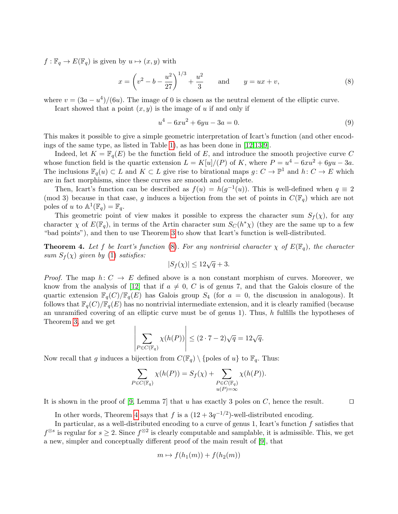$f : \mathbb{F}_q \to E(\mathbb{F}_q)$  is given by  $u \mapsto (x, y)$  with

<span id="page-9-0"></span>
$$
x = \left(v^2 - b - \frac{u^2}{27}\right)^{1/3} + \frac{u^2}{3} \quad \text{and} \quad y = ux + v,\tag{8}
$$

where  $v = (3a - u^4)/(6u)$ . The image of 0 is chosen as the neutral element of the elliptic curve.

Icart showed that a point  $(x, y)$  is the image of u if and only if

<span id="page-9-2"></span>
$$
u^4 - 6xu^2 + 6yu - 3a = 0.
$$
\n(9)

This makes it possible to give a simple geometric interpretation of Icart's function (and other encodings of the same type, as listed in Table [1\)](#page-3-2), as has been done in [\[12,](#page-17-9)[13,](#page-17-10)[9\]](#page-16-6).

Indeed, let  $K = \mathbb{F}_q(E)$  be the function field of E, and introduce the smooth projective curve C whose function field is the quartic extension  $L = K[u]/(P)$  of K, where  $P = u^4 - 6xu^2 + 6yu - 3a$ . The inclusions  $\mathbb{F}_q(u) \subset L$  and  $K \subset L$  give rise to birational maps  $g: C \to \mathbb{P}^1$  and  $h: C \to E$  which are in fact morphisms, since these curves are smooth and complete.

Then, Icart's function can be described as  $f(u) = h(g^{-1}(u))$ . This is well-defined when  $q \equiv 2$ (mod 3) because in that case, g induces a bijection from the set of points in  $C(\mathbb{F}_q)$  which are not poles of u to  $\mathbb{A}^1(\mathbb{F}_q) = \mathbb{F}_q$ .

This geometric point of view makes it possible to express the character sum  $S_f(\chi)$ , for any character  $\chi$  of  $E(\mathbb{F}_q)$ , in terms of the Artin character sum  $S_{\mathcal{C}}(h^*\chi)$  (they are the same up to a few "bad points"), and then to use Theorem [3](#page-8-0) to show that Icart's function is well-distributed.

<span id="page-9-1"></span>**Theorem 4.** Let f be Icart's function [\(8\)](#page-9-0). For any nontrivial character  $\chi$  of  $E(\mathbb{F}_q)$ , the character sum  $S_f(\chi)$  given by [\(1\)](#page-4-3) satisfies:

$$
|S_f(\chi)| \le 12\sqrt{q} + 3.
$$

*Proof.* The map  $h: C \to E$  defined above is a non constant morphism of curves. Moreover, we know from the analysis of [\[12\]](#page-17-9) that if  $a \neq 0, C$  is of genus 7, and that the Galois closure of the quartic extension  $\mathbb{F}_q(C)/\mathbb{F}_q(E)$  has Galois group  $S_4$  (for  $a = 0$ , the discussion in analogous). It follows that  $\mathbb{F}_q(C)/\mathbb{F}_q(E)$  has no nontrivial intermediate extension, and it is clearly ramified (because an unramified covering of an elliptic curve must be of genus 1). Thus, h fulfills the hypotheses of Theorem [3,](#page-8-0) and we get

$$
\left| \sum_{P \in C(\mathbb{F}_q)} \chi(h(P)) \right| \le (2 \cdot 7 - 2)\sqrt{q} = 12\sqrt{q}.
$$

Now recall that g induces a bijection from  $C(\mathbb{F}_q) \setminus \{\text{poles of } u\}$  to  $\mathbb{F}_q$ . Thus:

$$
\sum_{P \in C(\mathbb{F}_q)} \chi(h(P)) = S_f(\chi) + \sum_{\substack{P \in C(\mathbb{F}_q) \\ u(P) = \infty}} \chi(h(P)).
$$

It is shown in the proof of [\[9,](#page-16-6) Lemma 7] that u has exactly 3 poles on C, hence the result.  $\square$ 

In other words, Theorem [4](#page-9-1) says that f is a  $(12 + 3q^{-1/2})$ -well-distributed encoding.

In particular, as a well-distributed encoding to a curve of genus 1, Icart's function  $f$  satisfies that  $f^{\otimes s}$  is regular for  $s \geq 2$ . Since  $f^{\otimes 2}$  is clearly computable and samplable, it is admissible. This, we get a new, simpler and conceptually different proof of the main result of [\[9\]](#page-16-6), that

$$
m \mapsto f(h_1(m)) + f(h_2(m))
$$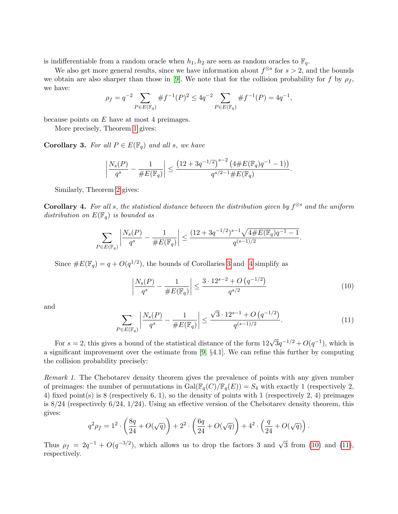is indifferentiable from a random oracle when  $h_1, h_2$  are seen as random oracles to  $\mathbb{F}_q$ .

We also get more general results, since we have information about  $f^{\otimes s}$  for  $s > 2$ , and the bounds we obtain are also sharper than those in [\[9\]](#page-16-6). We note that for the collision probability for f by  $\rho_f$ , we have:

$$
\rho_f = q^{-2} \sum_{P \in E(\mathbb{F}_q)} \# f^{-1}(P)^2 \le 4q^{-2} \sum_{P \in E(\mathbb{F}_q)} \# f^{-1}(P) = 4q^{-1},
$$

because points on  $E$  have at most 4 preimages.

More precisely, Theorem [1](#page-5-0) gives:

<span id="page-10-0"></span>**Corollary 3.** For all  $P \in E(\mathbb{F}_q)$  and all s, we have

$$
\left|\frac{N_s(P)}{q^s}-\frac{1}{\#E(\mathbb{F}_q)}\right|\leq \frac{\left(12+3q^{-1/2}\right)^{s-2}\left(4\#E(\mathbb{F}_q)q^{-1}-1\right)}{q^{s/2-1}\#E(\mathbb{F}_q)}.
$$

Similarly, Theorem [2](#page-6-0) gives:

<span id="page-10-1"></span>**Corollary 4.** For all s, the statistical distance between the distribution given by  $f^{\otimes s}$  and the uniform distribution on  $E(\mathbb{F}_q)$  is bounded as

$$
\sum_{P \in E(\mathbb{F}_q)} \left| \frac{N_s(P)}{q^s} - \frac{1}{\#E(\mathbb{F}_q)} \right| \le \frac{(12 + 3q^{-1/2})^{s-1} \sqrt{4 \#E(\mathbb{F}_q)q^{-1} - 1}}{q^{(s-1)/2}}.
$$

Since  $\#E(\mathbb{F}_q) = q + O(q^{1/2})$ , the bounds of Corollaries [3](#page-10-0) and [4](#page-10-1) simplify as

<span id="page-10-2"></span>
$$
\left| \frac{N_s(P)}{q^s} - \frac{1}{\#E(\mathbb{F}_q)} \right| \le \frac{3 \cdot 12^{s-2} + O\left(q^{-1/2}\right)}{q^{s/2}} \tag{10}
$$

and

<span id="page-10-3"></span>
$$
\sum_{P \in E(\mathbb{F}_q)} \left| \frac{N_s(P)}{q^s} - \frac{1}{\#E(\mathbb{F}_q)} \right| \le \frac{\sqrt{3} \cdot 12^{s-1} + O\left(q^{-1/2}\right)}{q^{(s-1)/2}}.\tag{11}
$$

For  $s = 2$ , this gives a bound of the statistical distance of the form  $12\sqrt{3}q^{-1/2} + O(q^{-1})$ , which is a significant improvement over the estimate from [\[9,](#page-16-6) §4.1]. We can refine this further by computing the collision probability precisely:

Remark 1. The Chebotarev density theorem gives the prevalence of points with any given number of preimages: the number of permutations in  $Gal(\mathbb{F}_q(C)/\mathbb{F}_q(E)) = S_4$  with exactly 1 (respectively 2, 4) fixed point(s) is 8 (respectively 6, 1), so the density of points with 1 (respectively 2, 4) preimages is  $8/24$  (respectively  $6/24$ ,  $1/24$ ). Using an effective version of the Chebotarev density theorem, this gives:

$$
q^{2} \rho_{f} = 1^{2} \cdot \left(\frac{8q}{24} + O(\sqrt{q})\right) + 2^{2} \cdot \left(\frac{6q}{24} + O(\sqrt{q})\right) + 4^{2} \cdot \left(\frac{q}{24} + O(\sqrt{q})\right).
$$

Thus  $\rho_f = 2q^{-1} + O(q^{-3/2})$ , which allows us to drop the factors 3 and  $\sqrt{3}$  from [\(10\)](#page-10-2) and [\(11\)](#page-10-3), respectively.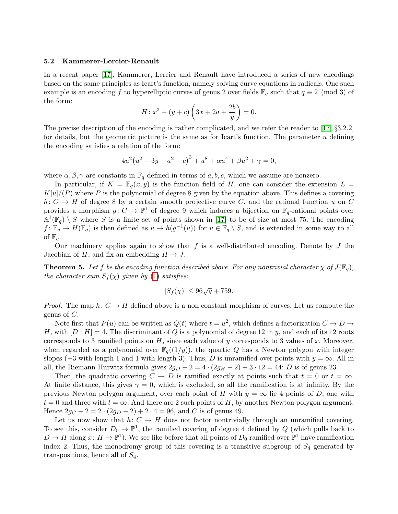#### <span id="page-11-0"></span>5.2 Kammerer-Lercier-Renault

In a recent paper [\[17\]](#page-17-8), Kammerer, Lercier and Renault have introduced a series of new encodings based on the same principles as Icart's function, namely solving curve equations in radicals. One such example is an encoding f to hyperelliptic curves of genus 2 over fields  $\mathbb{F}_q$  such that  $q \equiv 2 \pmod{3}$  of the form:

$$
H: x^3 + (y + c) \left(3x + 2a + \frac{2b}{y}\right) = 0.
$$

The precise description of the encoding is rather complicated, and we refer the reader to [\[17,](#page-17-8) §3.2.2] for details, but the geometric picture is the same as for Icart's function. The parameter u defining the encoding satisfies a relation of the form:

$$
4u^{2}(u^{2}-3y-a^{2}-c)^{3} + u^{8} + \alpha u^{4} + \beta u^{2} + \gamma = 0,
$$

where  $\alpha, \beta, \gamma$  are constants in  $\mathbb{F}_q$  defined in terms of a, b, c, which we assume are nonzero.

In particular, if  $K = \mathbb{F}_q(x, y)$  is the function field of H, one can consider the extension  $L =$  $K[u]/(P)$  where P is the polynomial of degree 8 given by the equation above. This defines a covering h:  $C \rightarrow H$  of degree 8 by a certain smooth projective curve C, and the rational function u on C provides a morphism  $g: C \to \mathbb{P}^1$  of degree 9 which induces a bijection on  $\mathbb{F}_q$ -rational points over  $\mathbb{A}^1(\mathbb{F}_q) \setminus S$  where S is a finite set of points shown in [\[17\]](#page-17-8) to be of size at most 75. The encoding  $f: \mathbb{F}_q \to H(\mathbb{F}_q)$  is then defined as  $u \mapsto h(g^{-1}(u))$  for  $u \in \mathbb{F}_q \setminus S$ , and is extended in some way to all of  $\mathbb{F}_q$ .

Our machinery applies again to show that  $f$  is a well-distributed encoding. Denote by  $J$  the Jacobian of H, and fix an embedding  $H \to J$ .

**Theorem 5.** Let f be the encoding function described above. For any nontrivial character  $\chi$  of  $J(\mathbb{F}_q)$ , the character sum  $S_f(\chi)$  given by [\(1\)](#page-4-3) satisfies:

$$
|S_f(\chi)| \le 96\sqrt{q} + 759.
$$

*Proof.* The map  $h: C \to H$  defined above is a non constant morphism of curves. Let us compute the genus of  $C$ .

Note first that  $P(u)$  can be written as  $Q(t)$  where  $t = u^2$ , which defines a factorization  $C \to D \to$ H, with  $[D:H] = 4$ . The discriminant of Q is a polynomial of degree 12 in y, and each of its 12 roots corresponds to 3 ramified points on  $H$ , since each value of y corresponds to 3 values of x. Moreover, when regarded as a polynomial over  $\mathbb{F}_q((1/y))$ , the quartic Q has a Newton polygon with integer slopes ( $-3$  with length 1 and 1 with length 3). Thus, D is unramified over points with  $y = \infty$ . All in all, the Riemann-Hurwitz formula gives  $2g_D - 2 = 4 \cdot (2g_H - 2) + 3 \cdot 12 = 44$ : D is of genus 23.

Then, the quadratic covering  $C \to D$  is ramified exactly at points such that  $t = 0$  or  $t = \infty$ . At finite distance, this gives  $\gamma = 0$ , which is excluded, so all the ramification is at infinity. By the previous Newton polygon argument, over each point of H with  $y = \infty$  lie 4 points of D, one with  $t = 0$  and three with  $t = \infty$ . And there are 2 such points of H, by another Newton polygon argument. Hence  $2g_C - 2 = 2 \cdot (2g_D - 2) + 2 \cdot 4 = 96$ , and C is of genus 49.

Let us now show that  $h: C \to H$  does not factor nontrivially through an unramified covering. To see this, consider  $D_0 \to \mathbb{P}^1$ , the ramified covering of degree 4 defined by Q (which pulls back to  $D \to H$  along  $x: H \to \mathbb{P}^1$ ). We see like before that all points of  $D_0$  ramified over  $\mathbb{P}^1$  have ramification index 2. Thus, the monodromy group of this covering is a transitive subgroup of  $S_4$  generated by transpositions, hence all of  $S_4$ .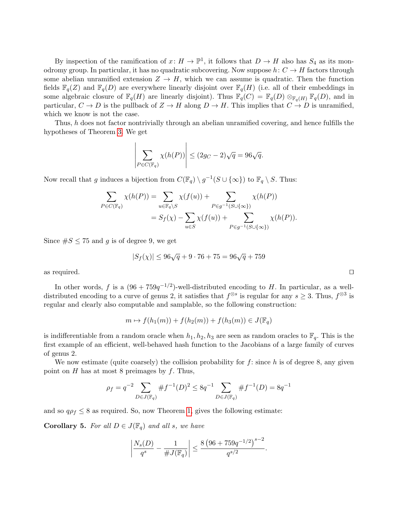By inspection of the ramification of  $x \colon H \to \mathbb{P}^1$ , it follows that  $D \to H$  also has  $S_4$  as its monodromy group. In particular, it has no quadratic subcovering. Now suppose  $h: C \to H$  factors through some abelian unramified extension  $Z \to H$ , which we can assume is quadratic. Then the function fields  $\mathbb{F}_q(Z)$  and  $\mathbb{F}_q(D)$  are everywhere linearly disjoint over  $\mathbb{F}_q(H)$  (i.e. all of their embeddings in some algebraic closure of  $\mathbb{F}_q(H)$  are linearly disjoint). Thus  $\mathbb{F}_q(C) = \mathbb{F}_q(D) \otimes_{\mathbb{F}_q(H)} \mathbb{F}_q(D)$ , and in particular,  $C \to D$  is the pullback of  $Z \to H$  along  $D \to H$ . This implies that  $C \to D$  is unramified, which we know is not the case.

Thus, h does not factor nontrivially through an abelian unramified covering, and hence fulfills the hypotheses of Theorem [3.](#page-8-0) We get

$$
\left| \sum_{P \in C(\mathbb{F}_q)} \chi(h(P)) \right| \le (2g_C - 2)\sqrt{q} = 96\sqrt{q}.
$$

Now recall that g induces a bijection from  $C(\mathbb{F}_q) \setminus g^{-1}(S \cup \{\infty\})$  to  $\mathbb{F}_q \setminus S$ . Thus:

$$
\sum_{P \in C(\mathbb{F}_q)} \chi(h(P)) = \sum_{u \in \mathbb{F}_q \backslash S} \chi(f(u)) + \sum_{P \in g^{-1}(S \cup \{\infty\})} \chi(h(P))
$$
  
=  $S_f(\chi) - \sum_{u \in S} \chi(f(u)) + \sum_{P \in g^{-1}(S \cup \{\infty\})} \chi(h(P)).$ 

Since  $\#S \leq 75$  and g is of degree 9, we get

$$
|S_f(\chi)| \le 96\sqrt{q} + 9 \cdot 76 + 75 = 96\sqrt{q} + 759
$$

as required.  $\Box$ 

In other words, f is a  $(96 + 759q^{-1/2})$ -well-distributed encoding to H. In particular, as a welldistributed encoding to a curve of genus 2, it satisfies that  $f^{\otimes s}$  is regular for any  $s \geq 3$ . Thus,  $f^{\otimes 3}$  is regular and clearly also computable and samplable, so the following construction:

$$
m \mapsto f(h_1(m)) + f(h_2(m)) + f(h_3(m)) \in J(\mathbb{F}_q)
$$

is indifferentiable from a random oracle when  $h_1, h_2, h_3$  are seen as random oracles to  $\mathbb{F}_q$ . This is the first example of an efficient, well-behaved hash function to the Jacobians of a large family of curves of genus 2.

We now estimate (quite coarsely) the collision probability for  $f$ : since h is of degree 8, any given point on  $H$  has at most 8 preimages by  $f$ . Thus,

$$
\rho_f = q^{-2} \sum_{D \in J(\mathbb{F}_q)} \# f^{-1}(D)^2 \leq 8q^{-1} \sum_{D \in J(\mathbb{F}_q)} \# f^{-1}(D) = 8q^{-1}
$$

<span id="page-12-0"></span>and so  $q\rho_f \leq 8$  as required. So, now Theorem [1,](#page-5-0) gives the following estimate:

**Corollary 5.** For all  $D \in J(\mathbb{F}_q)$  and all s, we have

$$
\left|\frac{N_s(D)}{q^s}-\frac{1}{\#J(\mathbb{F}_q)}\right|\leq \frac{8\left(96+759q^{-1/2}\right)^{s-2}}{q^{s/2}}.
$$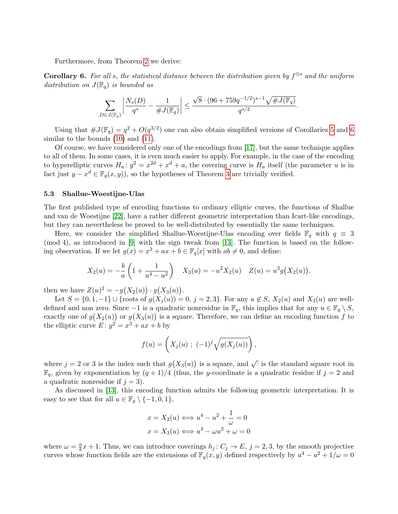Furthermore, from Theorem [2](#page-6-0) we derive:

<span id="page-13-0"></span>**Corollary 6.** For all s, the statistical distance between the distribution given by  $f^{\otimes s}$  and the uniform distribution on  $J(\mathbb{F}_q)$  is bounded as

$$
\sum_{D \in J(\mathbb{F}_q)} \left| \frac{N_s(D)}{q^s} - \frac{1}{\#J(\mathbb{F}_q)} \right| \le \frac{\sqrt{8} \cdot (96 + 759q^{-1/2})^{s-1} \sqrt{\#J(\mathbb{F}_q)}}{q^{s/2}}.
$$

Using that  $\#J(\mathbb{F}_q) = q^2 + O(q^{3/2})$  one can also obtain simplified versions of Corollaries [5](#page-12-0) and [6](#page-13-0) similar to the bounds  $(10)$  and  $(11)$ .

Of course, we have considered only one of the encodings from [\[17\]](#page-17-8), but the same technique applies to all of them. In some cases, it is even much easier to apply. For example, in the case of the encoding to hyperelliptic curves  $H_a: y^2 = x^{2d} + x^d + a$ , the covering curve is  $H_a$  itself (the parameter u is in fact just  $y - x^d \in \mathbb{F}_q(x, y)$ , so the hypotheses of Theorem [3](#page-8-0) are trivially verified.

#### 5.3 Shallue-Woestijne-Ulas

The first published type of encoding functions to ordinary elliptic curves, the functions of Shallue and van de Woestijne [\[22\]](#page-17-6), have a rather different geometric interpretation than Icart-like encodings, but they can nevertheless be proved to be well-distributed by essentially the same techniques.

Here, we consider the simplified Shallue-Woestijne-Ulas encoding over fields  $\mathbb{F}_q$  with  $q \equiv 3$ (mod 4), as introduced in [\[9\]](#page-16-6) with the sign tweak from [\[13\]](#page-17-10). The function is based on the following observation. If we let  $g(x) = x^3 + ax + b \in \mathbb{F}_q[x]$  with  $ab \neq 0$ , and define:

$$
X_2(u) = -\frac{b}{a} \left( 1 + \frac{1}{u^4 - u^2} \right) \quad X_3(u) = -u^2 X_2(u) \quad Z(u) = u^3 g\big(X_2(u)\big).
$$

then we have  $Z(u)^2 = -g(X_2(u)) \cdot g(X_3(u))$ .

Let  $S = \{0, 1, -1\} \cup \{\text{roots of } g(X_j(u)) = 0, j = 2, 3\}.$  For any  $u \notin S$ ,  $X_2(u)$  and  $X_3(u)$  are welldefined and non zero. Since  $-1$  is a quadratic nonresidue in  $\mathbb{F}_q$ , this implies that for any  $u \in \mathbb{F}_q \setminus S$ , exactly one of  $g(X_2(u))$  or  $g(X_3(u))$  is a square. Therefore, we can define an encoding function f to the elliptic curve  $E: y^2 = x^3 + ax + b$  by

$$
f(u) = \left( X_j(u) \; ; \; (-1)^j \sqrt{g(X_j(u))} \right),
$$

where  $j = 2$  or 3 is the index such that  $g(X_3(u))$  is a square, and  $\sqrt{\cdot}$  is the standard square root in  $\mathbb{F}_q$ , given by exponentiation by  $(q+1)/4$  (thus, the y-coordinate is a quadratic residue if  $j=2$  and a quadratic nonresidue if  $j = 3$ .

As discussed in [\[13\]](#page-17-10), this encoding function admits the following geometric interpretation. It is easy to see that for all  $u \in \mathbb{F}_q \setminus \{-1, 0, 1\},\$ 

$$
x = X_2(u) \Longleftrightarrow u^4 - u^2 + \frac{1}{\omega} = 0
$$
  

$$
x = X_3(u) \Longleftrightarrow u^4 - \omega u^2 + \omega = 0
$$

where  $\omega = \frac{a}{b}$  $\frac{a}{b}x + 1$ . Thus, we can introduce coverings  $h_j: C_j \to E$ ,  $j = 2, 3$ , by the smooth projective curves whose function fields are the extensions of  $\mathbb{F}_q(x, y)$  defined respectively by  $u^4 - u^2 + 1/\omega = 0$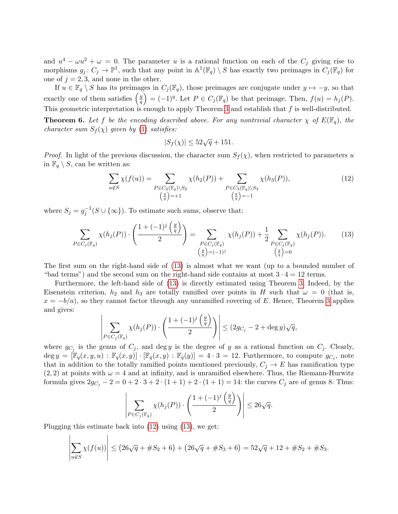and  $u^4 - \omega u^2 + \omega = 0$ . The parameter u is a rational function on each of the  $C_j$  giving rise to morphisms  $g_j: C_j \to \mathbb{P}^1$ , such that any point in  $\mathbb{A}^1(\mathbb{F}_q) \setminus S$  has exactly two preimages in  $C_j(\mathbb{F}_q)$  for one of  $j = 2, 3$ , and none in the other.

If  $u \in \mathbb{F}_q \setminus S$  has its preimages in  $C_j(\mathbb{F}_q)$ , those preimages are conjugate under  $y \mapsto -y$ , so that exactly one of them satisfies  $\left(\frac{y}{a}\right)$  $\left(\frac{y}{q}\right) = (-1)^q$ . Let  $P \in C_j(\mathbb{F}_q)$  be that preimage. Then,  $f(u) = h_j(P)$ . This geometric interpretation is enough to apply Theorem [3](#page-8-0) and establish that  $f$  is well-distributed.

**Theorem 6.** Let f be the encoding described above. For any nontrivial character  $\chi$  of  $E(\mathbb{F}_q)$ , the character sum  $S_f(\chi)$  given by [\(1\)](#page-4-3) satisfies:

$$
|S_f(\chi)| \le 52\sqrt{q} + 151.
$$

*Proof.* In light of the previous discussion, the character sum  $S_f(\chi)$ , when restricted to parameters u in  $\mathbb{F}_q \setminus S$ , can be written as:

<span id="page-14-1"></span>
$$
\sum_{u \notin S} \chi(f(u)) = \sum_{P \in C_2(\mathbb{F}_q) \backslash S_2} \chi(h_2(P)) + \sum_{P \in C_3(\mathbb{F}_q) \backslash S_3} \chi(h_3(P)),
$$
\n(12)\n
$$
\left(\frac{y}{q}\right) = +1
$$

where  $S_j = g_j^{-1}(S \cup \{\infty\})$ . To estimate such sums, observe that:

<span id="page-14-0"></span>
$$
\sum_{P \in C_j(\mathbb{F}_q)} \chi(h_j(P)) \cdot \left( \frac{1 + (-1)^j \left( \frac{y}{q} \right)}{2} \right) = \sum_{\substack{P \in C_j(\mathbb{F}_q) \\ \left( \frac{y}{q} \right) = (-1)^j}} \chi(h_j(P)) + \frac{1}{2} \sum_{\substack{P \in C_j(\mathbb{F}_q) \\ \left( \frac{y}{q} \right) = 0}} \chi(h_j(P)). \tag{13}
$$

The first sum on the right-hand side of [\(13\)](#page-14-0) is almost what we want (up to a bounded number of "bad terms") and the second sum on the right-hand side contains at most  $3 \cdot 4 = 12$  terms.

Furthermore, the left-hand side of [\(13\)](#page-14-0) is directly estimated using Theorem [3.](#page-8-0) Indeed, by the Eisenstein criterion,  $h_2$  and  $h_3$  are totally ramified over points in H such that  $\omega = 0$  (that is,  $x = -b/a$ , so they cannot factor through any unramified covering of E. Hence, Theorem [3](#page-8-0) applies and gives:

$$
\left|\sum_{P \in C_j(\mathbb{F}_q)} \chi(h_j(P)) \cdot \left(\frac{1+(-1)^j \left(\frac{y}{q}\right)}{2}\right)\right| \leq (2g_{C_j} - 2 + \deg y)\sqrt{q},
$$

where  $g_{C_j}$  is the genus of  $C_j$ , and deg y is the degree of y as a rational function on  $C_j$ . Clearly,  $\deg y = [\mathbb{F}_q(x, y, u) : \mathbb{F}_q(x, y)] \cdot [\mathbb{F}_q(x, y) : \mathbb{F}_q(y)] = 4 \cdot 3 = 12.$  Furthermore, to compute  $g_{C_j}$ , note that in addition to the totally ramified points mentioned previously,  $C_i \rightarrow E$  has ramification type  $(2, 2)$  at points with  $\omega = 4$  and at infinity, and is unramified elsewhere. Thus, the Riemann-Hurwitz formula gives  $2g_{C_i} - 2 = 0 + 2 \cdot 3 + 2 \cdot (1 + 1) + 2 \cdot (1 + 1) = 14$ : the curves  $C_j$  are of genus 8. Thus:

$$
\left| \sum_{P \in C_j(\mathbb{F}_q)} \chi(h_j(P)) \cdot \left( \frac{1 + (-1)^j \left( \frac{y}{q} \right)}{2} \right) \right| \leq 26\sqrt{q}.
$$

Plugging this estimate back into [\(12\)](#page-14-1) using [\(13\)](#page-14-0), we get:

$$
\left|\sum_{u \notin S} \chi(f(u))\right| \le (26\sqrt{q} + \#S_2 + 6) + (26\sqrt{q} + \#S_3 + 6) = 52\sqrt{q} + 12 + \#S_2 + \#S_3.
$$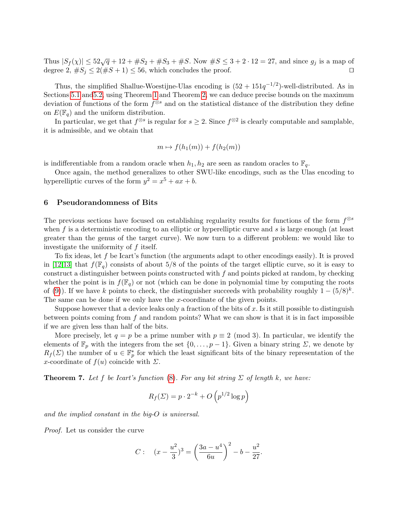Thus  $|S_f(\chi)| \leq 52\sqrt{q} + 12 + \#S_2 + \#S_3 + \#S$ . Now  $\#S \leq 3 + 2 \cdot 12 = 27$ , and since  $g_j$  is a map of degree 2,  $\#S_j \leq 2(\#S + 1) \leq 56$ , which concludes the proof.

Thus, the simplified Shallue-Woestijne-Ulas encoding is  $(52 + 151q^{-1/2})$ -well-distributed. As in Sections [5.1](#page-8-5) an[d5.2,](#page-11-0) using Theorem [1](#page-5-0) and Theorem [2,](#page-6-0) we can deduce precise bounds on the maximum deviation of functions of the form  $f^{\otimes s}$  and on the statistical distance of the distribution they define on  $E(\mathbb{F}_q)$  and the uniform distribution.

In particular, we get that  $f^{\otimes s}$  is regular for  $s \geq 2$ . Since  $f^{\otimes 2}$  is clearly computable and samplable, it is admissible, and we obtain that

$$
m \mapsto f(h_1(m)) + f(h_2(m))
$$

is indifferentiable from a random oracle when  $h_1, h_2$  are seen as random oracles to  $\mathbb{F}_q$ .

Once again, the method generalizes to other SWU-like encodings, such as the Ulas encoding to hyperelliptic curves of the form  $y^2 = x^5 + ax + b$ .

# <span id="page-15-0"></span>6 Pseudorandomness of Bits

The previous sections have focused on establishing regularity results for functions of the form  $f^{\otimes s}$ when f is a deterministic encoding to an elliptic or hyperelliptic curve and s is large enough (at least greater than the genus of the target curve). We now turn to a different problem: we would like to investigate the uniformity of f itself.

To fix ideas, let f be Icart's function (the arguments adapt to other encodings easily). It is proved in [\[12](#page-17-9)[,13\]](#page-17-10) that  $f(\mathbb{F}_q)$  consists of about 5/8 of the points of the target elliptic curve, so it is easy to construct a distinguisher between points constructed with  $f$  and points picked at random, by checking whether the point is in  $f(\mathbb{F}_q)$  or not (which can be done in polynomial time by computing the roots of [\(9\)](#page-9-2)). If we have k points to check, the distinguisher succeeds with probability roughly  $1 - (5/8)^k$ . The same can be done if we only have the x-coordinate of the given points.

Suppose however that a device leaks only a fraction of the bits of x. Is it still possible to distinguish between points coming from  $f$  and random points? What we can show is that it is in fact impossible if we are given less than half of the bits.

More precisely, let  $q = p$  be a prime number with  $p \equiv 2 \pmod{3}$ . In particular, we identify the elements of  $\mathbb{F}_p$  with the integers from the set  $\{0,\ldots,p-1\}$ . Given a binary string  $\Sigma$ , we denote by  $R_f(\Sigma)$  the number of  $u \in \mathbb{F}_p^*$  for which the least significant bits of the binary representation of the x-coordinate of  $f(u)$  coincide with  $\Sigma$ .

**Theorem 7.** Let f be Icart's function [\(8\)](#page-9-0). For any bit string  $\Sigma$  of length k, we have:

$$
R_f(\Sigma) = p \cdot 2^{-k} + O\left(p^{1/2} \log p\right)
$$

and the implied constant in the big-O is universal.

Proof. Let us consider the curve

$$
C: \quad (x - \frac{u^2}{3})^3 = \left(\frac{3a - u^4}{6u}\right)^2 - b - \frac{u^2}{27}.
$$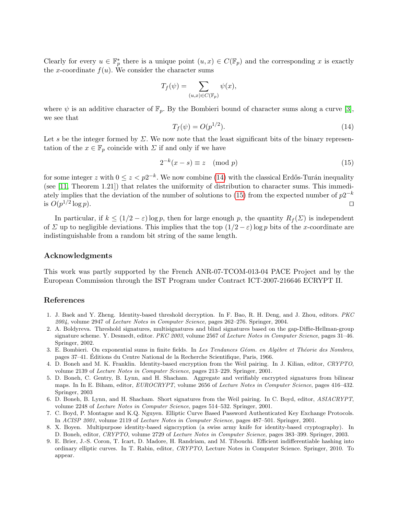Clearly for every  $u \in \mathbb{F}_p^*$  there is a unique point  $(u, x) \in C(\mathbb{F}_p)$  and the corresponding x is exactly the x-coordinate  $f(u)$ . We consider the character sums

$$
T_f(\psi) = \sum_{(u,x)\in C(\mathbb{F}_p)} \psi(x),
$$

where  $\psi$  is an additive character of  $\mathbb{F}_p$ . By the Bombieri bound of character sums along a curve [\[3\]](#page-16-8), we see that

<span id="page-16-9"></span>
$$
T_f(\psi) = O(p^{1/2}).
$$
\n(14)

Let s be the integer formed by  $\Sigma$ . We now note that the least significant bits of the binary representation of the  $x \in \mathbb{F}_p$  coincide with  $\Sigma$  if and only if we have

<span id="page-16-10"></span>
$$
2^{-k}(x-s) \equiv z \pmod{p} \tag{15}
$$

for some integer z with  $0 \le z < p2^{-k}$ . We now combine [\(14\)](#page-16-9) with the classical Erdős-Turán inequality (see [\[11,](#page-17-15) Theorem 1.21]) that relates the uniformity of distribution to character sums. This immedi-ately implies that the deviation of the number of solutions to [\(15\)](#page-16-10) from the expected number of  $p2^{-k}$ is  $O(p^{1/2}$  $\log p$ ).

In particular, if  $k \leq (1/2 - \varepsilon) \log p$ , then for large enough p, the quantity  $R_f(\Sigma)$  is independent of  $\Sigma$  up to negligible deviations. This implies that the top  $(1/2 - \varepsilon)$  log p bits of the x-coordinate are indistinguishable from a random bit string of the same length.

# Acknowledgments

This work was partly supported by the French ANR-07-TCOM-013-04 PACE Project and by the European Commission through the IST Program under Contract ICT-2007-216646 ECRYPT II.

## References

- <span id="page-16-1"></span>1. J. Baek and Y. Zheng. Identity-based threshold decryption. In F. Bao, R. H. Deng, and J. Zhou, editors. PKC 2004, volume 2947 of Lecture Notes in Computer Science, pages 262–276. Springer, 2004.
- <span id="page-16-2"></span>2. A. Boldyreva. Threshold signatures, multisignatures and blind signatures based on the gap-Diffie-Hellman-group signature scheme. Y. Desmedt, editor. PKC 2003, volume 2567 of Lecture Notes in Computer Science, pages 31–46. Springer, 2002.
- <span id="page-16-8"></span>3. E. Bombieri. On exponential sums in finite fields. In Les Tendances Géom. en Algèbre et Théorie des Nombres, pages 37–41. Editions du Centre National de la Recherche Scientifique, Paris, 1966. ´
- <span id="page-16-0"></span>4. D. Boneh and M. K. Franklin. Identity-based encryption from the Weil pairing. In J. Kilian, editor, CRYPTO, volume 2139 of Lecture Notes in Computer Science, pages 213–229. Springer, 2001.
- <span id="page-16-3"></span>5. D. Boneh, C. Gentry, B. Lynn, and H. Shacham. Aggregate and verifiably encrypted signatures from bilinear maps. In In E. Biham, editor, EUROCRYPT, volume 2656 of Lecture Notes in Computer Science, pages 416–432. Springer, 2003
- <span id="page-16-4"></span>6. D. Boneh, B. Lynn, and H. Shacham. Short signatures from the Weil pairing. In C. Boyd, editor, ASIACRYPT, volume 2248 of Lecture Notes in Computer Science, pages 514–532. Springer, 2001.
- <span id="page-16-7"></span>7. C. Boyd, P. Montague and K.Q. Nguyen. Elliptic Curve Based Password Authenticated Key Exchange Protocols. In ACISP 2001, volume 2119 of Lecture Notes in Computer Science, pages 487–501. Springer, 2001.
- <span id="page-16-5"></span>8. X. Boyen. Multipurpose identity-based signcryption (a swiss army knife for identity-based cryptography). In D. Boneh, editor, CRYPTO, volume 2729 of Lecture Notes in Computer Science, pages 383–399. Springer, 2003.
- <span id="page-16-6"></span>9. E. Brier, J.-S. Coron, T. Icart, D. Madore, H. Randriam, and M. Tibouchi. Efficient indifferentiable hashing into ordinary elliptic curves. In T. Rabin, editor, CRYPTO, Lecture Notes in Computer Science. Springer, 2010. To appear.